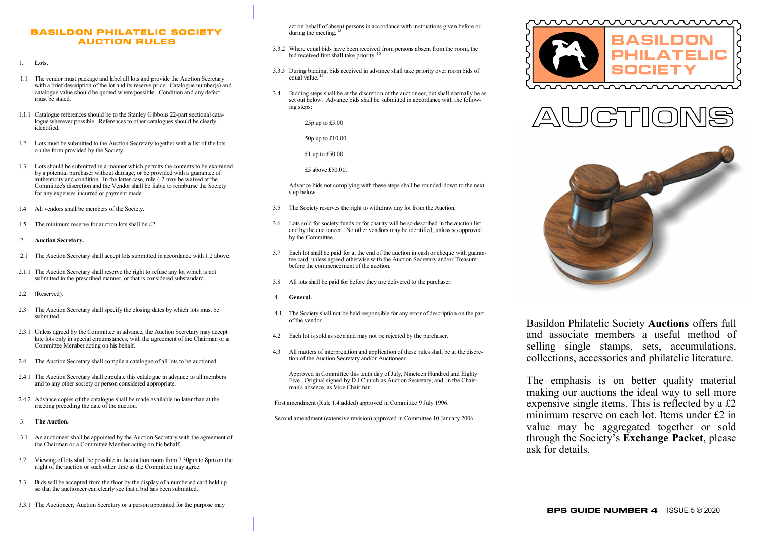## BASILDON PHILATELIC SOCIETY AUCTION RULES

- 1. **Lots.**
- 1.1 The vendor must package and label all lots and provide the Auction Secretary with a brief description of the lot and its reserve price. Catalogue number(s) and catalogue value should be quoted where possible. Condition and any defect must be stated.
- 1.1.1 Catalogue references should be to the Stanley Gibbons 22-part sectional catalogue wherever possible. References to other catalogues should be clearly identified.
- 1.2 Lots must be submitted to the Auction Secretary together with a list of the lots on the form provided by the Society.
- 1.3 Lots should be submitted in a manner which permits the contents to be examined by a potential purchaser without damage, or be provided with a guarantee of authenticity and condition. In the latter case, rule 4.2 may be waived at the Committee's discretion and the Vendor shall be liable to reimburse the Society for any expenses incurred or payment made.
- 1.4 All vendors shall be members of the Society.
- The minimum reserve for auction lots shall be £2.
- 2. **Auction Secretary.**
- 2.1 The Auction Secretary shall accept lots submitted in accordance with 1.2 above.
- 2.1.1 The Auction Secretary shall reserve the right to refuse any lot which is not submitted in the prescribed manner, or that is considered substandard.
- 2.2 (Reserved).
- 2.3 The Auction Secretary shall specify the closing dates by which lots must be submitted.
- 2.3.1 Unless agreed by the Committee in advance, the Auction Secretary may accept late lots only in special circumstances, with the agreement of the Chairman or a Committee Member acting on his behalf.
- 2.4 The Auction Secretary shall compile a catalogue of all lots to be auctioned.
- 2.4.1 The Auction Secretary shall circulate this catalogue in advance to all members and to any other society or person considered appropriate.
- 2.4.2 Advance copies of the catalogue shall be made available no later than at the meeting preceding the date of the auction.
- 3. **The Auction.**
- 3.1 An auctioneer shall be appointed by the Auction Secretary with the agreement of the Chairman or a Committee Member acting on his behalf.
- 3.2 Viewing of lots shall be possible in the auction room from 7.30pm to 8pm on the night of the auction or such other time as the Committee may agree.
- 3.3 Bids will be accepted from the floor by the display of a numbered card held up so that the auctioneer can clearly see that a bid has been submitted.
- 3.3.1 The Auctioneer, Auction Secretary or a person appointed for the purpose may

act on behalf of absent persons in accordance with instructions given before or during the meeting.<sup>1</sup>

- 3.3.2 Where equal bids have been received from persons absent from the room, the bid received first shall take priority.<sup>11</sup>
- 3.3.3 During bidding, bids received in advance shall take priority over room bids of equal value.
- 3.4 Bidding steps shall be at the discretion of the auctioneer, but shall normally be as set out below. Advance bids shall be submitted in accordance with the following steps:

25p up to £5.00

#### 50p up to £10.00

£1 up to £50.00

£5 above £50.00.

Advance bids not complying with these steps shall be rounded-down to the next step below.

- 3.5 The Society reserves the right to withdraw any lot from the Auction.
- Lots sold for society funds or for charity will be so described in the auction list and by the auctioneer. No other vendors may be identified, unless so approved by the Committee.
- 3.7 Each lot shall be paid for at the end of the auction in cash or cheque with guarantee card, unless agreed otherwise with the Auction Secretary and/or Treasurer before the commencement of the auction.
- 3.8 All lots shall be paid for before they are delivered to the purchaser.
- 4. **General.**
- 4.1 The Society shall not be held responsible for any error of description on the part of the vendor.
- 4.2 Each lot is sold as seen and may not be rejected by the purchaser.
- 4.3 All matters of interpretation and application of these rules shall be at the discretion of the Auction Secretary and/or Auctioneer.

Approved in Committee this tenth day of July, Nineteen Hundred and Eighty Five. Original signed by D J Church as Auction Secretary, and, in the Chairman's absence, as Vice Chairman.

First amendment (Rule 1.4 added) approved in Committee 9 July 1996.

Second amendment (extensive revision) approved in Committee 10 January 2006.







Basildon Philatelic Society **Auctions** offers full and associate members a useful method of selling single stamps, sets, accumulations, collections, accessories and philatelic literature.

The emphasis is on better quality material making our auctions the ideal way to sell more expensive single items. This is reflected by a £2 minimum reserve on each lot. Items under £2 in value may be aggregated together or sold through the Society's **Exchange Packet**, please ask for details.